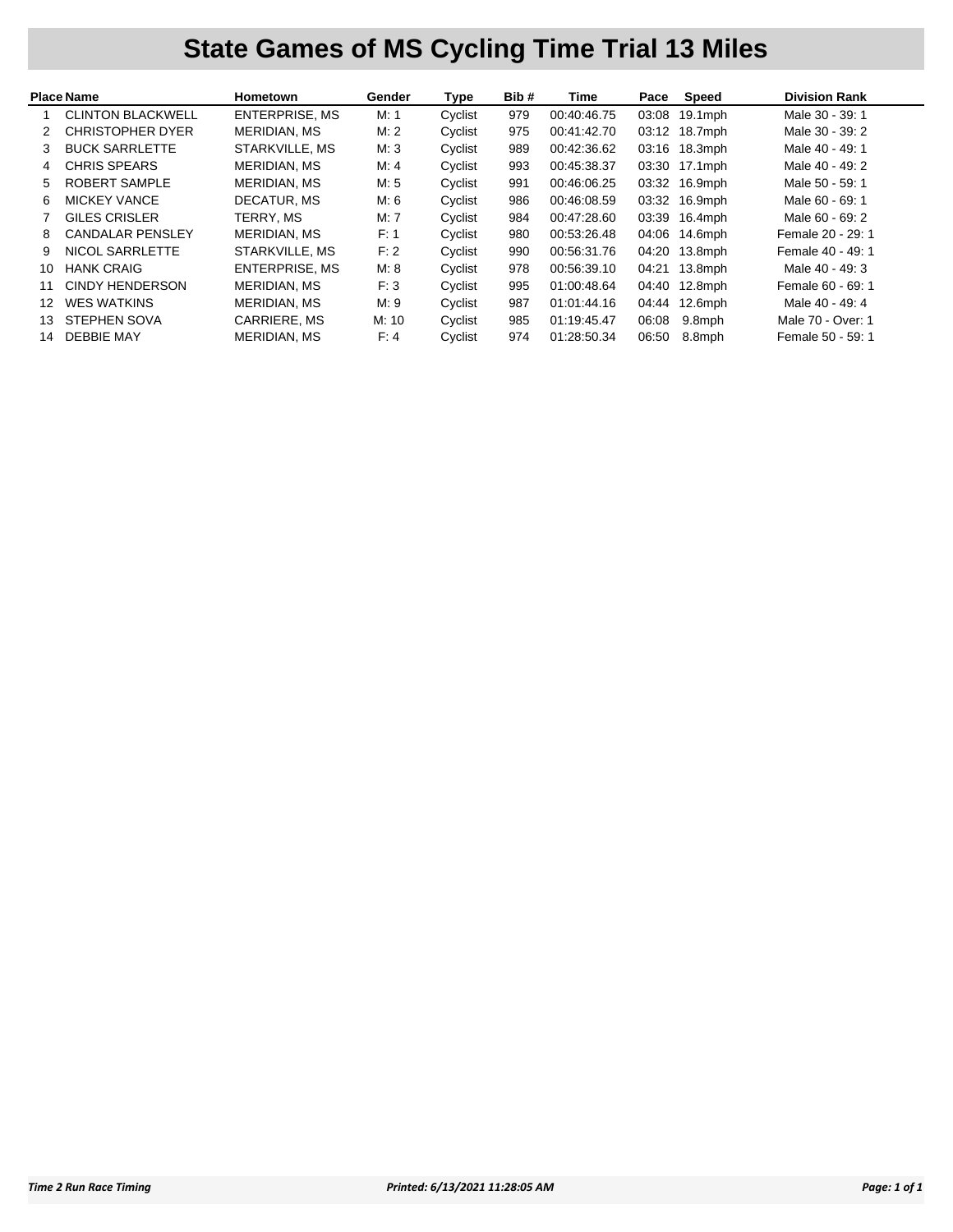## **State Games of MS Cycling Time Trial 13 Miles**

| <b>Place Name</b> |                          | Hometown              | Gender | Type    | Bib# | Time        | Pace  | Speed         | <b>Division Rank</b> |
|-------------------|--------------------------|-----------------------|--------|---------|------|-------------|-------|---------------|----------------------|
|                   | <b>CLINTON BLACKWELL</b> | <b>ENTERPRISE, MS</b> | M: 1   | Cyclist | 979  | 00:40:46.75 | 03:08 | $19.1$ mph    | Male 30 - 39: 1      |
|                   | <b>CHRISTOPHER DYER</b>  | <b>MERIDIAN, MS</b>   | M:2    | Cyclist | 975  | 00:41:42.70 |       | 03:12 18.7mph | Male 30 - 39: 2      |
| 3                 | <b>BUCK SARRLETTE</b>    | STARKVILLE, MS        | M:3    | Cyclist | 989  | 00:42:36.62 |       | 03:16 18.3mph | Male 40 - 49: 1      |
| 4                 | <b>CHRIS SPEARS</b>      | <b>MERIDIAN, MS</b>   | M: 4   | Cyclist | 993  | 00:45:38.37 |       | 03:30 17.1mph | Male 40 - 49: 2      |
| 5.                | ROBERT SAMPLE            | MERIDIAN, MS          | M: 5   | Cyclist | 991  | 00:46:06.25 |       | 03:32 16.9mph | Male 50 - 59: 1      |
| 6                 | <b>MICKEY VANCE</b>      | DECATUR, MS           | M: 6   | Cyclist | 986  | 00:46:08.59 |       | 03:32 16.9mph | Male 60 - 69: 1      |
|                   | <b>GILES CRISLER</b>     | TERRY, MS             | M: 7   | Cyclist | 984  | 00:47:28.60 | 03:39 | 16.4mph       | Male 60 - 69: 2      |
| 8                 | <b>CANDALAR PENSLEY</b>  | MERIDIAN, MS          | F: 1   | Cyclist | 980  | 00:53:26.48 | 04:06 | 14.6mph       | Female 20 - 29: 1    |
| 9                 | NICOL SARRLETTE          | STARKVILLE, MS        | F: 2   | Cyclist | 990  | 00:56:31.76 | 04:20 | $13.8$ mph    | Female 40 - 49: 1    |
| 10                | <b>HANK CRAIG</b>        | ENTERPRISE, MS        | M: 8   | Cyclist | 978  | 00:56:39.10 |       | 04:21 13.8mph | Male 40 - 49: 3      |
| 11                | CINDY HENDERSON          | <b>MERIDIAN, MS</b>   | F:3    | Cyclist | 995  | 01:00:48.64 | 04:40 | $12.8$ mph    | Female 60 - 69: 1    |
| 12                | <b>WES WATKINS</b>       | MERIDIAN, MS          | M: 9   | Cyclist | 987  | 01:01:44.16 | 04:44 | $12.6$ mph    | Male 40 - 49: 4      |
| 13                | <b>STEPHEN SOVA</b>      | CARRIERE, MS          | M: 10  | Cyclist | 985  | 01:19:45.47 | 06:08 | 9.8mph        | Male 70 - Over: 1    |
| 14                | <b>DEBBIE MAY</b>        | MERIDIAN, MS          | F: 4   | Cyclist | 974  | 01:28:50.34 | 06:50 | 8.8mph        | Female 50 - 59: 1    |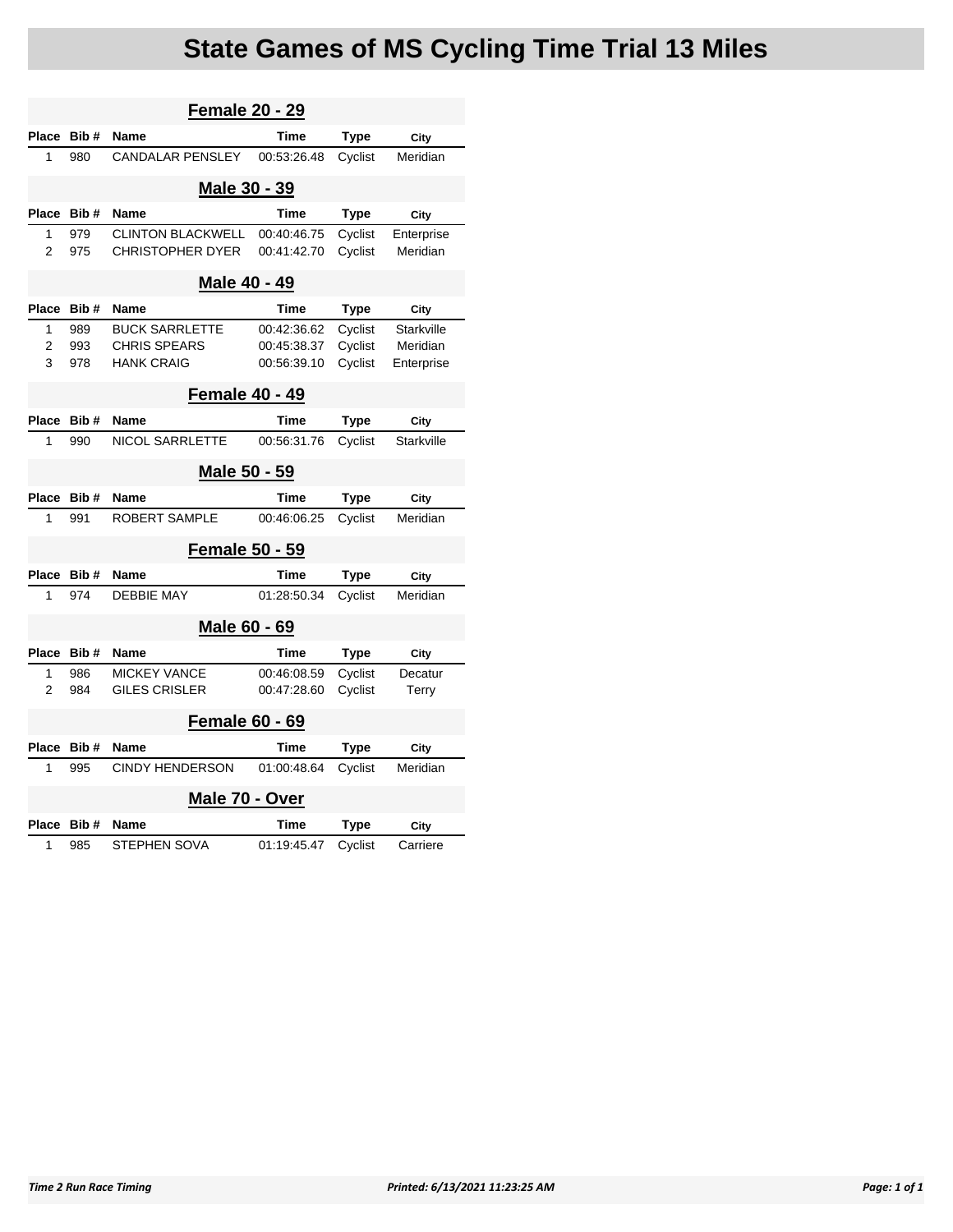## **State Games of MS Cycling Time Trial 13 Miles**

| <b>Female 20 - 29</b>    |                                                                   |                                                                   |                                           |                               |                                      |  |  |  |  |  |
|--------------------------|-------------------------------------------------------------------|-------------------------------------------------------------------|-------------------------------------------|-------------------------------|--------------------------------------|--|--|--|--|--|
| Place                    | Bib#                                                              | <b>Name</b>                                                       | <b>Time</b>                               | <b>Type</b>                   | City                                 |  |  |  |  |  |
| 1                        | 980                                                               | <b>CANDALAR PENSLEY</b>                                           | 00:53:26.48                               | Cyclist                       | Meridian                             |  |  |  |  |  |
| Male 30 - 39             |                                                                   |                                                                   |                                           |                               |                                      |  |  |  |  |  |
| Place                    | Bib#                                                              | Name                                                              | <b>Time</b>                               | <b>Type</b>                   | City                                 |  |  |  |  |  |
| 1<br>2                   | 979<br><b>CLINTON BLACKWELL</b><br><b>CHRISTOPHER DYER</b><br>975 |                                                                   | 00:40:46.75<br>00:41:42.70                | Cyclist<br>Cyclist            | Enterprise<br>Meridian               |  |  |  |  |  |
|                          | Male 40 - 49                                                      |                                                                   |                                           |                               |                                      |  |  |  |  |  |
| Place                    | Bib#                                                              | Name                                                              | Time                                      | Type                          | City                                 |  |  |  |  |  |
| 1<br>$\overline{2}$<br>3 | 989<br>993<br>978                                                 | <b>BUCK SARRLETTE</b><br><b>CHRIS SPEARS</b><br><b>HANK CRAIG</b> | 00:42:36.62<br>00:45:38.37<br>00:56:39.10 | Cyclist<br>Cyclist<br>Cyclist | Starkville<br>Meridian<br>Enterprise |  |  |  |  |  |
|                          |                                                                   | <b>Female 40 - 49</b>                                             |                                           |                               |                                      |  |  |  |  |  |
| Place                    | Bib#                                                              | <b>Name</b>                                                       | Time                                      | Type                          | City                                 |  |  |  |  |  |
| 1                        | 990                                                               | <b>NICOL SARRLETTE</b>                                            | 00:56:31.76                               | Cyclist                       | <b>Starkville</b>                    |  |  |  |  |  |
|                          | Male 50 - 59                                                      |                                                                   |                                           |                               |                                      |  |  |  |  |  |
| Place                    | Bib#<br><b>Name</b><br><b>ROBERT SAMPLE</b><br>1<br>991           |                                                                   | <b>Time</b>                               | Type                          | City                                 |  |  |  |  |  |
|                          |                                                                   |                                                                   | 00:46:06.25                               | Cyclist                       | Meridian                             |  |  |  |  |  |
|                          |                                                                   | <b>Female 50 - 59</b>                                             |                                           |                               |                                      |  |  |  |  |  |
| Place                    | <b>Name</b><br>Bib#                                               |                                                                   | <b>Time</b>                               | Type                          | City                                 |  |  |  |  |  |
| 1                        | <b>DEBBIE MAY</b><br>974                                          |                                                                   | 01:28:50.34                               | Cyclist                       | Meridian                             |  |  |  |  |  |
|                          | Male 60 - 69                                                      |                                                                   |                                           |                               |                                      |  |  |  |  |  |
| Place                    | Bib#                                                              | <b>Name</b>                                                       | <b>Time</b>                               | <b>Type</b>                   | City                                 |  |  |  |  |  |
| 1                        | 986                                                               | <b>MICKEY VANCE</b>                                               | 00:46:08.59                               | Cyclist                       | Decatur                              |  |  |  |  |  |
|                          | $\overline{2}$<br><b>GILES CRISLER</b><br>984                     |                                                                   | 00:47:28.60                               | Cyclist                       | Terry                                |  |  |  |  |  |
| <b>Female 60 - 69</b>    |                                                                   |                                                                   |                                           |                               |                                      |  |  |  |  |  |
| Place                    | Bib#                                                              | Name                                                              | Time                                      | Type                          | City                                 |  |  |  |  |  |
| 1                        | 995                                                               | <b>CINDY HENDERSON</b>                                            | 01:00:48.64                               | Cyclist                       | Meridian                             |  |  |  |  |  |
|                          | Male 70 - Over                                                    |                                                                   |                                           |                               |                                      |  |  |  |  |  |
| Place                    | Bib#                                                              | <b>Name</b>                                                       | <b>Time</b>                               | Type                          | City                                 |  |  |  |  |  |
| 1                        | 985                                                               | <b>STEPHEN SOVA</b>                                               | 01:19:45.47                               | Cyclist                       | Carriere                             |  |  |  |  |  |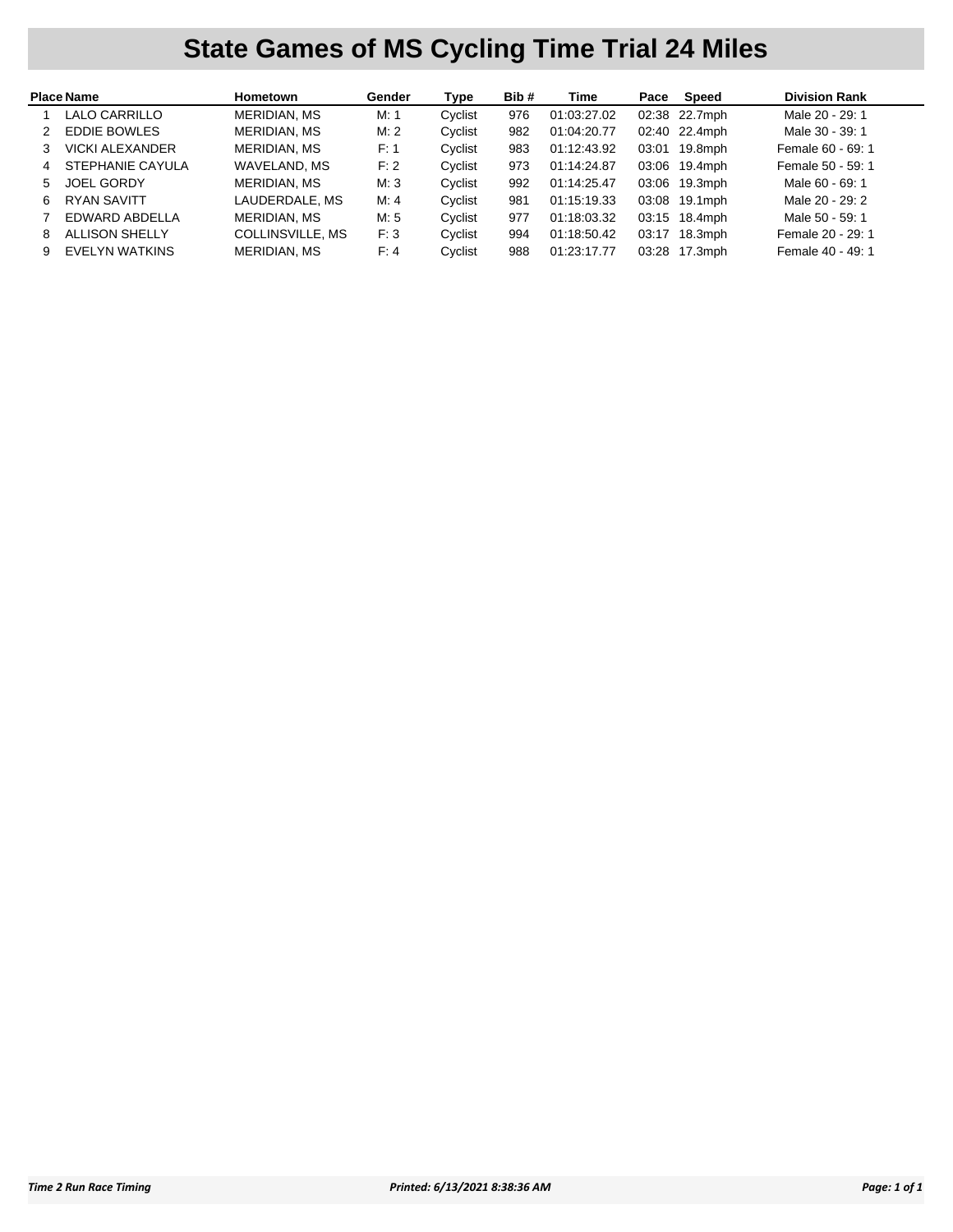## **State Games of MS Cycling Time Trial 24 Miles**

|    | <b>Place Name</b>      | Hometown            | Gender | Type    | Bib# | Time        | Pace | Speed         | <b>Division Rank</b> |
|----|------------------------|---------------------|--------|---------|------|-------------|------|---------------|----------------------|
|    | LALO CARRILLO          | <b>MERIDIAN, MS</b> | M: 1   | Cyclist | 976  | 01:03:27.02 |      | 02:38 22.7mph | Male 20 - 29: 1      |
| 2  | <b>EDDIE BOWLES</b>    | <b>MERIDIAN, MS</b> | M:2    | Cyclist | 982  | 01:04:20.77 |      | 02:40 22.4mph | Male 30 - 39: 1      |
|    | <b>VICKI ALEXANDER</b> | <b>MERIDIAN, MS</b> | F: 1   | Cyclist | 983  | 01:12:43.92 |      | 03:01 19.8mph | Female 60 - 69: 1    |
| 4  | STEPHANIE CAYULA       | WAVELAND, MS        | F: 2   | Cvclist | 973  | 01:14:24.87 |      | 03:06 19.4mph | Female 50 - 59: 1    |
| 5  | <b>JOEL GORDY</b>      | <b>MERIDIAN, MS</b> | M:3    | Cyclist | 992  | 01:14:25.47 |      | 03:06 19.3mph | Male 60 - 69: 1      |
| 6. | <b>RYAN SAVITT</b>     | LAUDERDALE, MS      | M: 4   | Cyclist | 981  | 01:15:19.33 |      | 03:08 19.1mph | Male 20 - 29: 2      |
|    | EDWARD ABDELLA         | <b>MERIDIAN, MS</b> | M: 5   | Cyclist | 977  | 01:18:03.32 |      | 03:15 18.4mph | Male 50 - 59: 1      |
| 8  | <b>ALLISON SHELLY</b>  | COLLINSVILLE, MS    | F:3    | Cyclist | 994  | 01:18:50.42 |      | 03:17 18.3mph | Female 20 - 29: 1    |
| 9  | EVELYN WATKINS         | MERIDIAN, MS        | F: 4   | Cvclist | 988  | 01:23:17.77 |      | 03:28 17.3mph | Female 40 - 49: 1    |